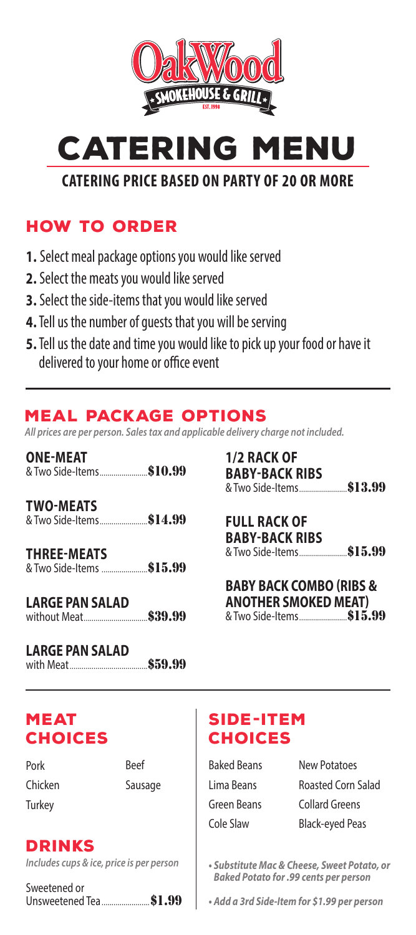

**CATERING MEN** 

CATERING PRICE BASED ON PARTY OF 20 OR MORE

### How to order

- 1. Select meal package options you would like served
- 2. Select the meats you would like served
- 3. Select the side-items that you would like served
- 4.Tell us the number of guests that you will be serving
- 5.Tell us the date and time you would like to pick up your food or have it delivered to your home or office event

## Meal Package options

*All prices are per person. Sales tax and applicable delivery charge not included.*

| <b>ONE-MEAT</b>                                 |  |
|-------------------------------------------------|--|
| <b>TWO-MEATS</b>                                |  |
| <b>THREE-MEATS</b><br>& Two Side-Items  \$15.99 |  |

| <b>LARGE PAN SALAD</b> |  |  |  |
|------------------------|--|--|--|
| without Meat \$39.99   |  |  |  |

| <b>LARGE PAN SALAD</b> |  |  |  |
|------------------------|--|--|--|
|                        |  |  |  |

| 1/2 RACK OF           |  |
|-----------------------|--|
| <b>BABY-BACK RIBS</b> |  |
|                       |  |

FULL RACK OF BABY-BACK RIBS & Two Side-Items*.........................*\$15.99

| <b>BABY BACK COMBO (RIBS &amp;</b> |  |
|------------------------------------|--|
| <b>ANOTHER SMOKED MEAT)</b>        |  |
| & Two Side-Items\$15.99            |  |

## **MEAT CHOICES**

Pork Chicken **Turkey** 

Beef Sausage

**DRINKS** 

*Includes cups & ice, price is per person*

| Sweetened or |                         |  |  |
|--------------|-------------------------|--|--|
|              | Unsweetened Tea  \$1.99 |  |  |

# Side-Item **CHOICES**

| Baked Beans |
|-------------|
| Lima Beans  |
| Green Beans |
| Cole Slaw   |

New Potatoes Roasted Corn Salad Collard Greens Black-eyed Peas

*• Substitute Mac & Cheese, Sweet Potato, or Baked Potato for .99 cents per person*

*• Add a 3rd Side-Item for \$1.99 per person*